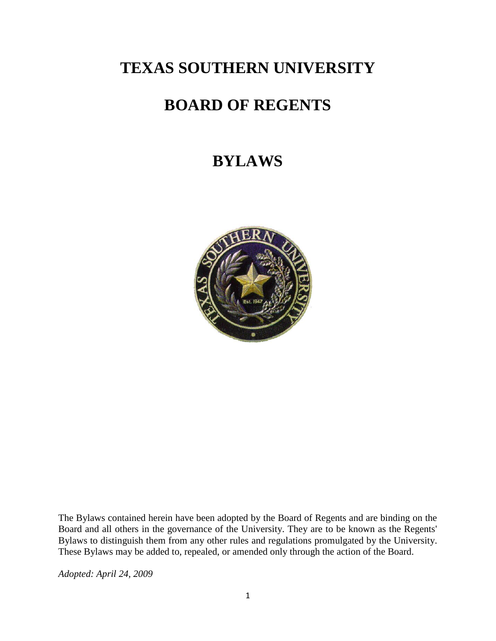## **TEXAS SOUTHERN UNIVERSITY**

# **BOARD OF REGENTS**

## **BYLAWS**



The Bylaws contained herein have been adopted by the Board of Regents and are binding on the Board and all others in the governance of the University. They are to be known as the Regents' Bylaws to distinguish them from any other rules and regulations promulgated by the University. These Bylaws may be added to, repealed, or amended only through the action of the Board.

*Adopted: April 24, 2009*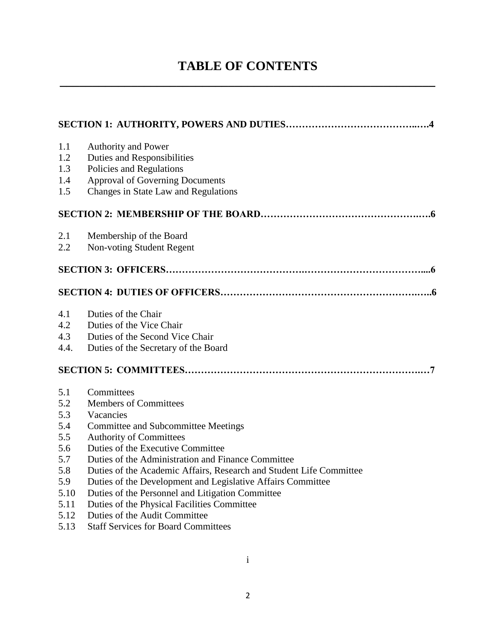## **TABLE OF CONTENTS \_\_\_\_\_\_\_\_\_\_\_\_\_\_\_\_\_\_\_\_\_\_\_\_\_\_\_\_\_\_\_\_\_\_\_\_\_\_\_\_\_\_\_\_\_\_\_\_\_\_\_\_\_\_\_\_\_\_**

| 1.1  | Authority and Power                                                 |
|------|---------------------------------------------------------------------|
| 1.2  | <b>Duties and Responsibilities</b>                                  |
| 1.3  | Policies and Regulations                                            |
| 1.4  | <b>Approval of Governing Documents</b>                              |
| 1.5  | Changes in State Law and Regulations                                |
|      |                                                                     |
| 2.1  | Membership of the Board                                             |
| 2.2  | Non-voting Student Regent                                           |
|      |                                                                     |
|      |                                                                     |
| 4.1  | Duties of the Chair                                                 |
| 4.2  | Duties of the Vice Chair                                            |
| 4.3  | Duties of the Second Vice Chair                                     |
| 4.4. | Duties of the Secretary of the Board                                |
|      |                                                                     |
| 5.1  | Committees                                                          |
| 5.2  | <b>Members of Committees</b>                                        |
| 5.3  | Vacancies                                                           |
| 5.4  | <b>Committee and Subcommittee Meetings</b>                          |
| 5.5  | <b>Authority of Committees</b>                                      |
| 5.6  | Duties of the Executive Committee                                   |
| 5.7  | Duties of the Administration and Finance Committee                  |
| 5.8  | Duties of the Academic Affairs, Research and Student Life Committee |
| 5.9  | Duties of the Development and Legislative Affairs Committee         |
| 5.10 | Duties of the Personnel and Litigation Committee                    |
| 5.11 | Duties of the Physical Facilities Committee                         |
| 5.12 | Duties of the Audit Committee                                       |
| 5.13 | <b>Staff Services for Board Committees</b>                          |

i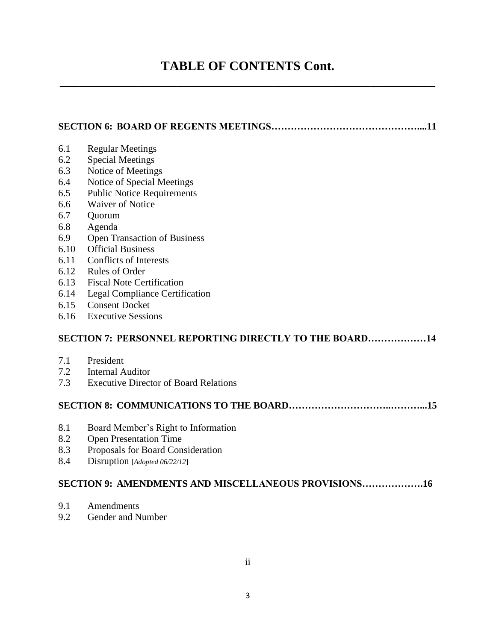### **TABLE OF CONTENTS Cont. \_\_\_\_\_\_\_\_\_\_\_\_\_\_\_\_\_\_\_\_\_\_\_\_\_\_\_\_\_\_\_\_\_\_\_\_\_\_\_\_\_\_\_\_\_\_\_\_\_\_\_\_\_\_\_\_\_\_**

### **SECTION 6: BOARD OF REGENTS MEETINGS………………………………………....11**

| 6.1  | <b>Regular Meetings</b>                                |
|------|--------------------------------------------------------|
| 6.2  | <b>Special Meetings</b>                                |
| 6.3  | Notice of Meetings                                     |
| 6.4  | Notice of Special Meetings                             |
| 6.5  | <b>Public Notice Requirements</b>                      |
| 6.6  | <b>Waiver of Notice</b>                                |
| 6.7  | Quorum                                                 |
| 6.8  | Agenda                                                 |
| 6.9  | <b>Open Transaction of Business</b>                    |
| 6.10 | <b>Official Business</b>                               |
| 6.11 | Conflicts of Interests                                 |
| 6.12 | <b>Rules of Order</b>                                  |
| 6.13 | <b>Fiscal Note Certification</b>                       |
| 6.14 | Legal Compliance Certification                         |
| 6.15 | <b>Consent Docket</b>                                  |
| 6.16 | <b>Executive Sessions</b>                              |
|      | SECTION 7: PERSONNEL REPORTING DIRECTLY TO THE BOARD14 |
| 7.1  | President                                              |
| 7.2  | <b>Internal Auditor</b>                                |
| 7.3  | <b>Executive Director of Board Relations</b>           |
|      |                                                        |

#### **SECTION 8: COMMUNICATIONS TO THE BOARD…………………………..………...15**

- 8.1 Board Member's Right to Information
- 8.2 Open Presentation Time
- 8.3 Proposals for Board Consideration
- 8.4 Disruption [*Adopted 06/22/12*]

#### **SECTION 9: AMENDMENTS AND MISCELLANEOUS PROVISIONS……………….16**

- 9.1 Amendments
- 9.2 Gender and Number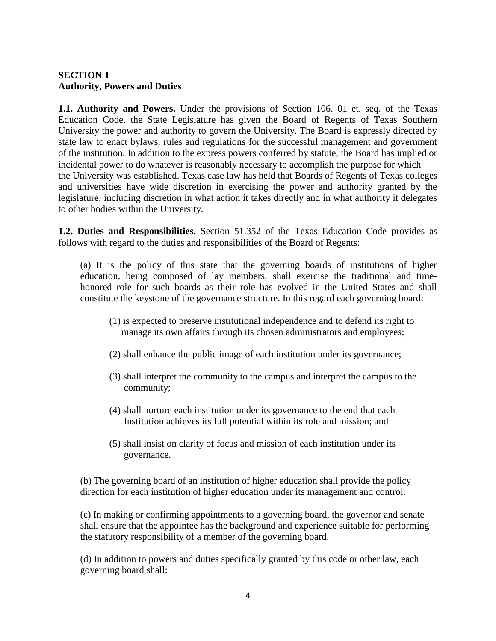#### **SECTION 1 Authority, Powers and Duties**

**1.1. Authority and Powers.** Under the provisions of Section 106. 01 et. seq. of the Texas Education Code, the State Legislature has given the Board of Regents of Texas Southern University the power and authority to govern the University. The Board is expressly directed by state law to enact bylaws, rules and regulations for the successful management and government of the institution. In addition to the express powers conferred by statute, the Board has implied or incidental power to do whatever is reasonably necessary to accomplish the purpose for which the University was established. Texas case law has held that Boards of Regents of Texas colleges and universities have wide discretion in exercising the power and authority granted by the legislature, including discretion in what action it takes directly and in what authority it delegates to other bodies within the University.

**1.2. Duties and Responsibilities.** Section 51.352 of the Texas Education Code provides as follows with regard to the duties and responsibilities of the Board of Regents:

(a) It is the policy of this state that the governing boards of institutions of higher education, being composed of lay members, shall exercise the traditional and timehonored role for such boards as their role has evolved in the United States and shall constitute the keystone of the governance structure. In this regard each governing board:

- (1) is expected to preserve institutional independence and to defend its right to manage its own affairs through its chosen administrators and employees;
- (2) shall enhance the public image of each institution under its governance;
- (3) shall interpret the community to the campus and interpret the campus to the community;
- (4) shall nurture each institution under its governance to the end that each Institution achieves its full potential within its role and mission; and
- (5) shall insist on clarity of focus and mission of each institution under its governance.

(b) The governing board of an institution of higher education shall provide the policy direction for each institution of higher education under its management and control.

(c) In making or confirming appointments to a governing board, the governor and senate shall ensure that the appointee has the background and experience suitable for performing the statutory responsibility of a member of the governing board.

(d) In addition to powers and duties specifically granted by this code or other law, each governing board shall: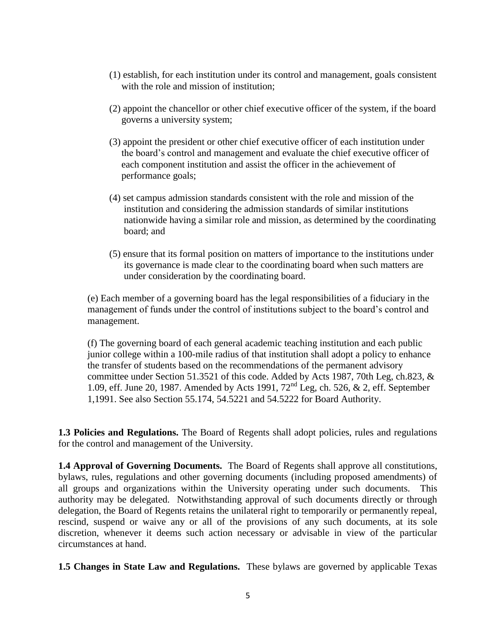- (1) establish, for each institution under its control and management, goals consistent with the role and mission of institution;
- (2) appoint the chancellor or other chief executive officer of the system, if the board governs a university system;
- (3) appoint the president or other chief executive officer of each institution under the board's control and management and evaluate the chief executive officer of each component institution and assist the officer in the achievement of performance goals;
- (4) set campus admission standards consistent with the role and mission of the institution and considering the admission standards of similar institutions nationwide having a similar role and mission, as determined by the coordinating board; and
- (5) ensure that its formal position on matters of importance to the institutions under its governance is made clear to the coordinating board when such matters are under consideration by the coordinating board.

(e) Each member of a governing board has the legal responsibilities of a fiduciary in the management of funds under the control of institutions subject to the board's control and management.

(f) The governing board of each general academic teaching institution and each public junior college within a 100-mile radius of that institution shall adopt a policy to enhance the transfer of students based on the recommendations of the permanent advisory committee under Section 51.3521 of this code. Added by Acts 1987, 70th Leg, ch.823, & 1.09, eff. June 20, 1987. Amended by Acts 1991, 72nd Leg, ch. 526, & 2, eff. September 1,1991. See also Section 55.174, 54.5221 and 54.5222 for Board Authority.

**1.3 Policies and Regulations.** The Board of Regents shall adopt policies, rules and regulations for the control and management of the University.

**1.4 Approval of Governing Documents.** The Board of Regents shall approve all constitutions, bylaws, rules, regulations and other governing documents (including proposed amendments) of all groups and organizations within the University operating under such documents. This authority may be delegated. Notwithstanding approval of such documents directly or through delegation, the Board of Regents retains the unilateral right to temporarily or permanently repeal, rescind, suspend or waive any or all of the provisions of any such documents, at its sole discretion, whenever it deems such action necessary or advisable in view of the particular circumstances at hand.

**1.5 Changes in State Law and Regulations.** These bylaws are governed by applicable Texas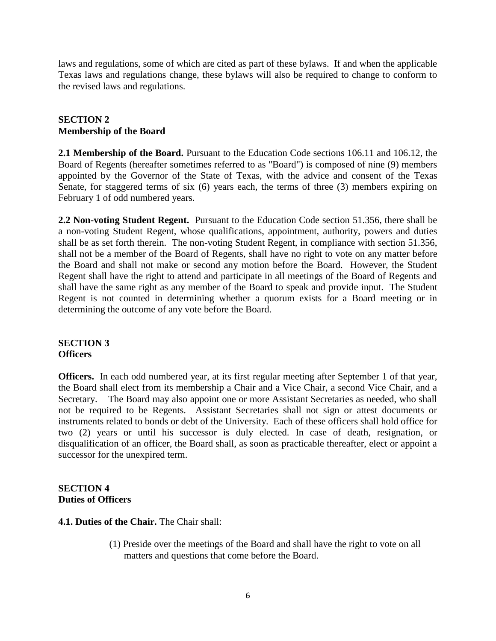laws and regulations, some of which are cited as part of these bylaws. If and when the applicable Texas laws and regulations change, these bylaws will also be required to change to conform to the revised laws and regulations.

#### **SECTION 2 Membership of the Board**

**2.1 Membership of the Board.** Pursuant to the Education Code sections 106.11 and 106.12, the Board of Regents (hereafter sometimes referred to as "Board") is composed of nine (9) members appointed by the Governor of the State of Texas, with the advice and consent of the Texas Senate, for staggered terms of six (6) years each, the terms of three (3) members expiring on February 1 of odd numbered years.

**2.2 Non-voting Student Regent.** Pursuant to the Education Code section 51.356, there shall be a non-voting Student Regent, whose qualifications, appointment, authority, powers and duties shall be as set forth therein. The non-voting Student Regent, in compliance with section 51.356, shall not be a member of the Board of Regents, shall have no right to vote on any matter before the Board and shall not make or second any motion before the Board. However, the Student Regent shall have the right to attend and participate in all meetings of the Board of Regents and shall have the same right as any member of the Board to speak and provide input. The Student Regent is not counted in determining whether a quorum exists for a Board meeting or in determining the outcome of any vote before the Board.

#### **SECTION 3 Officers**

**Officers.** In each odd numbered year, at its first regular meeting after September 1 of that year, the Board shall elect from its membership a Chair and a Vice Chair, a second Vice Chair, and a Secretary. The Board may also appoint one or more Assistant Secretaries as needed, who shall not be required to be Regents. Assistant Secretaries shall not sign or attest documents or instruments related to bonds or debt of the University. Each of these officers shall hold office for two (2) years or until his successor is duly elected. In case of death, resignation, or disqualification of an officer, the Board shall, as soon as practicable thereafter, elect or appoint a successor for the unexpired term.

#### **SECTION 4 Duties of Officers**

- **4.1. Duties of the Chair.** The Chair shall:
	- (1) Preside over the meetings of the Board and shall have the right to vote on all matters and questions that come before the Board.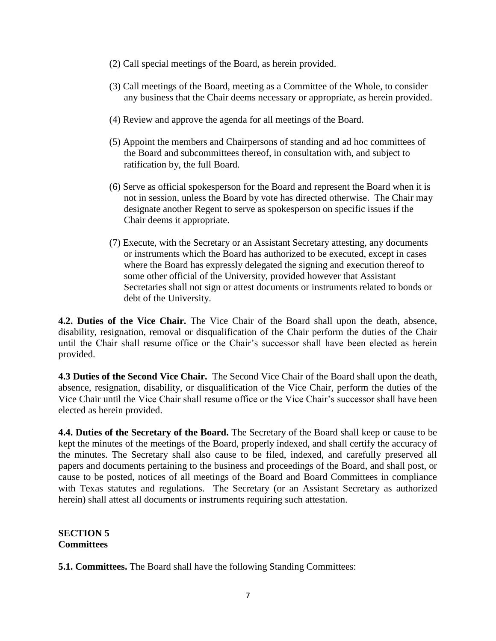- (2) Call special meetings of the Board, as herein provided.
- (3) Call meetings of the Board, meeting as a Committee of the Whole, to consider any business that the Chair deems necessary or appropriate, as herein provided.
- (4) Review and approve the agenda for all meetings of the Board.
- (5) Appoint the members and Chairpersons of standing and ad hoc committees of the Board and subcommittees thereof, in consultation with, and subject to ratification by, the full Board.
- (6) Serve as official spokesperson for the Board and represent the Board when it is not in session, unless the Board by vote has directed otherwise. The Chair may designate another Regent to serve as spokesperson on specific issues if the Chair deems it appropriate.
- (7) Execute, with the Secretary or an Assistant Secretary attesting, any documents or instruments which the Board has authorized to be executed, except in cases where the Board has expressly delegated the signing and execution thereof to some other official of the University, provided however that Assistant Secretaries shall not sign or attest documents or instruments related to bonds or debt of the University.

**4.2. Duties of the Vice Chair.** The Vice Chair of the Board shall upon the death, absence, disability, resignation, removal or disqualification of the Chair perform the duties of the Chair until the Chair shall resume office or the Chair's successor shall have been elected as herein provided.

**4.3 Duties of the Second Vice Chair.** The Second Vice Chair of the Board shall upon the death, absence, resignation, disability, or disqualification of the Vice Chair, perform the duties of the Vice Chair until the Vice Chair shall resume office or the Vice Chair's successor shall have been elected as herein provided.

**4.4. Duties of the Secretary of the Board.** The Secretary of the Board shall keep or cause to be kept the minutes of the meetings of the Board, properly indexed, and shall certify the accuracy of the minutes. The Secretary shall also cause to be filed, indexed, and carefully preserved all papers and documents pertaining to the business and proceedings of the Board, and shall post, or cause to be posted, notices of all meetings of the Board and Board Committees in compliance with Texas statutes and regulations. The Secretary (or an Assistant Secretary as authorized herein) shall attest all documents or instruments requiring such attestation.

#### **SECTION 5 Committees**

**5.1. Committees.** The Board shall have the following Standing Committees: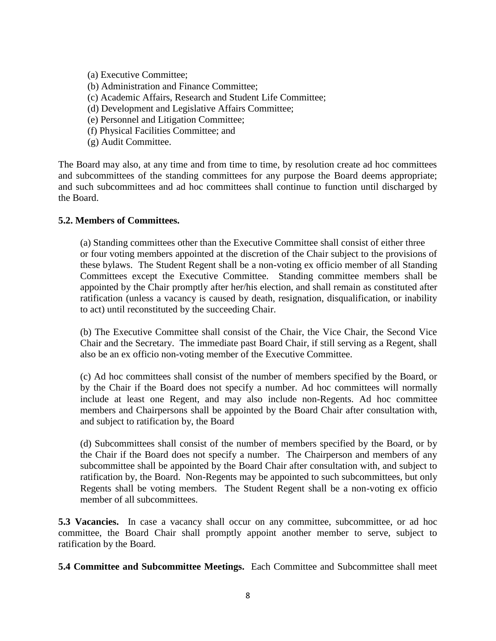(a) Executive Committee;

- (b) Administration and Finance Committee;
- (c) Academic Affairs, Research and Student Life Committee;
- (d) Development and Legislative Affairs Committee;
- (e) Personnel and Litigation Committee;
- (f) Physical Facilities Committee; and
- (g) Audit Committee.

The Board may also, at any time and from time to time, by resolution create ad hoc committees and subcommittees of the standing committees for any purpose the Board deems appropriate; and such subcommittees and ad hoc committees shall continue to function until discharged by the Board.

#### **5.2. Members of Committees.**

(a) Standing committees other than the Executive Committee shall consist of either three or four voting members appointed at the discretion of the Chair subject to the provisions of these bylaws. The Student Regent shall be a non-voting ex officio member of all Standing Committees except the Executive Committee. Standing committee members shall be appointed by the Chair promptly after her/his election, and shall remain as constituted after ratification (unless a vacancy is caused by death, resignation, disqualification, or inability to act) until reconstituted by the succeeding Chair.

(b) The Executive Committee shall consist of the Chair, the Vice Chair, the Second Vice Chair and the Secretary. The immediate past Board Chair, if still serving as a Regent, shall also be an ex officio non-voting member of the Executive Committee.

(c) Ad hoc committees shall consist of the number of members specified by the Board, or by the Chair if the Board does not specify a number. Ad hoc committees will normally include at least one Regent, and may also include non-Regents. Ad hoc committee members and Chairpersons shall be appointed by the Board Chair after consultation with, and subject to ratification by, the Board

(d) Subcommittees shall consist of the number of members specified by the Board, or by the Chair if the Board does not specify a number. The Chairperson and members of any subcommittee shall be appointed by the Board Chair after consultation with, and subject to ratification by, the Board. Non-Regents may be appointed to such subcommittees, but only Regents shall be voting members. The Student Regent shall be a non-voting ex officio member of all subcommittees.

**5.3 Vacancies.** In case a vacancy shall occur on any committee, subcommittee, or ad hoc committee, the Board Chair shall promptly appoint another member to serve, subject to ratification by the Board.

**5.4 Committee and Subcommittee Meetings.** Each Committee and Subcommittee shall meet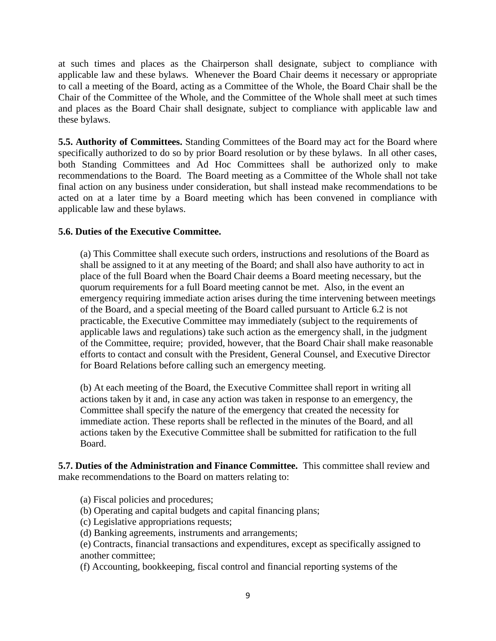at such times and places as the Chairperson shall designate, subject to compliance with applicable law and these bylaws. Whenever the Board Chair deems it necessary or appropriate to call a meeting of the Board, acting as a Committee of the Whole, the Board Chair shall be the Chair of the Committee of the Whole, and the Committee of the Whole shall meet at such times and places as the Board Chair shall designate, subject to compliance with applicable law and these bylaws.

**5.5. Authority of Committees.** Standing Committees of the Board may act for the Board where specifically authorized to do so by prior Board resolution or by these bylaws. In all other cases, both Standing Committees and Ad Hoc Committees shall be authorized only to make recommendations to the Board. The Board meeting as a Committee of the Whole shall not take final action on any business under consideration, but shall instead make recommendations to be acted on at a later time by a Board meeting which has been convened in compliance with applicable law and these bylaws.

#### **5.6. Duties of the Executive Committee.**

(a) This Committee shall execute such orders, instructions and resolutions of the Board as shall be assigned to it at any meeting of the Board; and shall also have authority to act in place of the full Board when the Board Chair deems a Board meeting necessary, but the quorum requirements for a full Board meeting cannot be met. Also, in the event an emergency requiring immediate action arises during the time intervening between meetings of the Board, and a special meeting of the Board called pursuant to Article 6.2 is not practicable, the Executive Committee may immediately (subject to the requirements of applicable laws and regulations) take such action as the emergency shall, in the judgment of the Committee, require; provided, however, that the Board Chair shall make reasonable efforts to contact and consult with the President, General Counsel, and Executive Director for Board Relations before calling such an emergency meeting.

(b) At each meeting of the Board, the Executive Committee shall report in writing all actions taken by it and, in case any action was taken in response to an emergency, the Committee shall specify the nature of the emergency that created the necessity for immediate action. These reports shall be reflected in the minutes of the Board, and all actions taken by the Executive Committee shall be submitted for ratification to the full Board.

**5.7. Duties of the Administration and Finance Committee.** This committee shall review and make recommendations to the Board on matters relating to:

- (a) Fiscal policies and procedures;
- (b) Operating and capital budgets and capital financing plans;
- (c) Legislative appropriations requests;
- (d) Banking agreements, instruments and arrangements;

(e) Contracts, financial transactions and expenditures, except as specifically assigned to another committee;

(f) Accounting, bookkeeping, fiscal control and financial reporting systems of the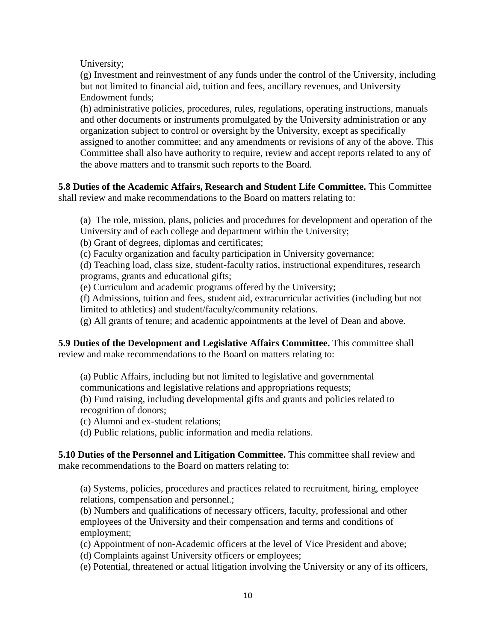University;

(g) Investment and reinvestment of any funds under the control of the University, including but not limited to financial aid, tuition and fees, ancillary revenues, and University Endowment funds;

(h) administrative policies, procedures, rules, regulations, operating instructions, manuals and other documents or instruments promulgated by the University administration or any organization subject to control or oversight by the University, except as specifically assigned to another committee; and any amendments or revisions of any of the above. This Committee shall also have authority to require, review and accept reports related to any of the above matters and to transmit such reports to the Board.

**5.8 Duties of the Academic Affairs, Research and Student Life Committee.** This Committee shall review and make recommendations to the Board on matters relating to:

(a) The role, mission, plans, policies and procedures for development and operation of the University and of each college and department within the University;

(b) Grant of degrees, diplomas and certificates;

(c) Faculty organization and faculty participation in University governance;

(d) Teaching load, class size, student-faculty ratios, instructional expenditures, research programs, grants and educational gifts;

(e) Curriculum and academic programs offered by the University;

(f) Admissions, tuition and fees, student aid, extracurricular activities (including but not limited to athletics) and student/faculty/community relations.

(g) All grants of tenure; and academic appointments at the level of Dean and above.

**5.9 Duties of the Development and Legislative Affairs Committee.** This committee shall review and make recommendations to the Board on matters relating to:

(a) Public Affairs, including but not limited to legislative and governmental

communications and legislative relations and appropriations requests;

(b) Fund raising, including developmental gifts and grants and policies related to recognition of donors;

(c) Alumni and ex-student relations;

(d) Public relations, public information and media relations.

**5.10 Duties of the Personnel and Litigation Committee.** This committee shall review and make recommendations to the Board on matters relating to:

(a) Systems, policies, procedures and practices related to recruitment, hiring, employee relations, compensation and personnel.;

(b) Numbers and qualifications of necessary officers, faculty, professional and other employees of the University and their compensation and terms and conditions of employment;

(c) Appointment of non-Academic officers at the level of Vice President and above;

(d) Complaints against University officers or employees;

(e) Potential, threatened or actual litigation involving the University or any of its officers,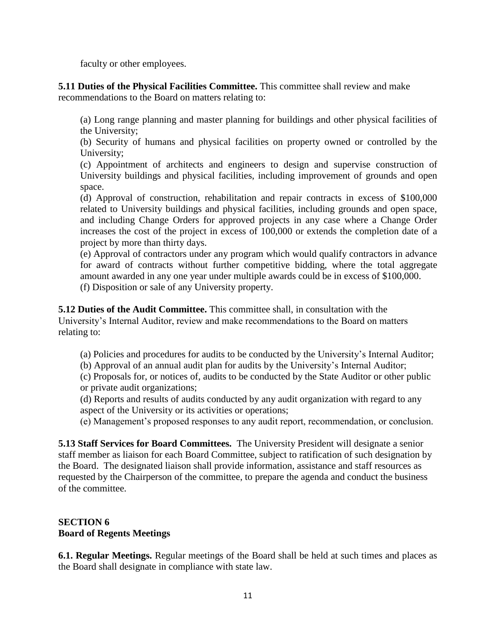faculty or other employees.

**5.11 Duties of the Physical Facilities Committee.** This committee shall review and make recommendations to the Board on matters relating to:

(a) Long range planning and master planning for buildings and other physical facilities of the University;

(b) Security of humans and physical facilities on property owned or controlled by the University;

(c) Appointment of architects and engineers to design and supervise construction of University buildings and physical facilities, including improvement of grounds and open space.

(d) Approval of construction, rehabilitation and repair contracts in excess of \$100,000 related to University buildings and physical facilities, including grounds and open space, and including Change Orders for approved projects in any case where a Change Order increases the cost of the project in excess of 100,000 or extends the completion date of a project by more than thirty days.

(e) Approval of contractors under any program which would qualify contractors in advance for award of contracts without further competitive bidding, where the total aggregate amount awarded in any one year under multiple awards could be in excess of \$100,000. (f) Disposition or sale of any University property.

**5.12 Duties of the Audit Committee.** This committee shall, in consultation with the University's Internal Auditor, review and make recommendations to the Board on matters relating to:

(a) Policies and procedures for audits to be conducted by the University's Internal Auditor;

(b) Approval of an annual audit plan for audits by the University's Internal Auditor;

(c) Proposals for, or notices of, audits to be conducted by the State Auditor or other public or private audit organizations;

(d) Reports and results of audits conducted by any audit organization with regard to any aspect of the University or its activities or operations;

(e) Management's proposed responses to any audit report, recommendation, or conclusion.

**5.13 Staff Services for Board Committees.** The University President will designate a senior staff member as liaison for each Board Committee, subject to ratification of such designation by the Board. The designated liaison shall provide information, assistance and staff resources as requested by the Chairperson of the committee, to prepare the agenda and conduct the business of the committee.

#### **SECTION 6 Board of Regents Meetings**

**6.1. Regular Meetings.** Regular meetings of the Board shall be held at such times and places as the Board shall designate in compliance with state law.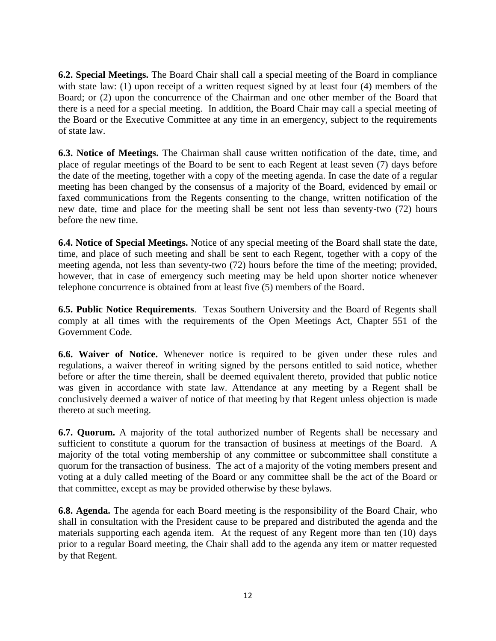**6.2. Special Meetings.** The Board Chair shall call a special meeting of the Board in compliance with state law: (1) upon receipt of a written request signed by at least four (4) members of the Board; or (2) upon the concurrence of the Chairman and one other member of the Board that there is a need for a special meeting. In addition, the Board Chair may call a special meeting of the Board or the Executive Committee at any time in an emergency, subject to the requirements of state law.

**6.3. Notice of Meetings.** The Chairman shall cause written notification of the date, time, and place of regular meetings of the Board to be sent to each Regent at least seven (7) days before the date of the meeting, together with a copy of the meeting agenda. In case the date of a regular meeting has been changed by the consensus of a majority of the Board, evidenced by email or faxed communications from the Regents consenting to the change, written notification of the new date, time and place for the meeting shall be sent not less than seventy-two (72) hours before the new time.

**6.4. Notice of Special Meetings.** Notice of any special meeting of the Board shall state the date, time, and place of such meeting and shall be sent to each Regent, together with a copy of the meeting agenda, not less than seventy-two (72) hours before the time of the meeting; provided, however, that in case of emergency such meeting may be held upon shorter notice whenever telephone concurrence is obtained from at least five (5) members of the Board.

**6.5. Public Notice Requirements**. Texas Southern University and the Board of Regents shall comply at all times with the requirements of the Open Meetings Act, Chapter 551 of the Government Code.

**6.6. Waiver of Notice.** Whenever notice is required to be given under these rules and regulations, a waiver thereof in writing signed by the persons entitled to said notice, whether before or after the time therein, shall be deemed equivalent thereto, provided that public notice was given in accordance with state law. Attendance at any meeting by a Regent shall be conclusively deemed a waiver of notice of that meeting by that Regent unless objection is made thereto at such meeting.

**6.7. Quorum.** A majority of the total authorized number of Regents shall be necessary and sufficient to constitute a quorum for the transaction of business at meetings of the Board. A majority of the total voting membership of any committee or subcommittee shall constitute a quorum for the transaction of business. The act of a majority of the voting members present and voting at a duly called meeting of the Board or any committee shall be the act of the Board or that committee, except as may be provided otherwise by these bylaws.

**6.8. Agenda.** The agenda for each Board meeting is the responsibility of the Board Chair, who shall in consultation with the President cause to be prepared and distributed the agenda and the materials supporting each agenda item. At the request of any Regent more than ten (10) days prior to a regular Board meeting, the Chair shall add to the agenda any item or matter requested by that Regent.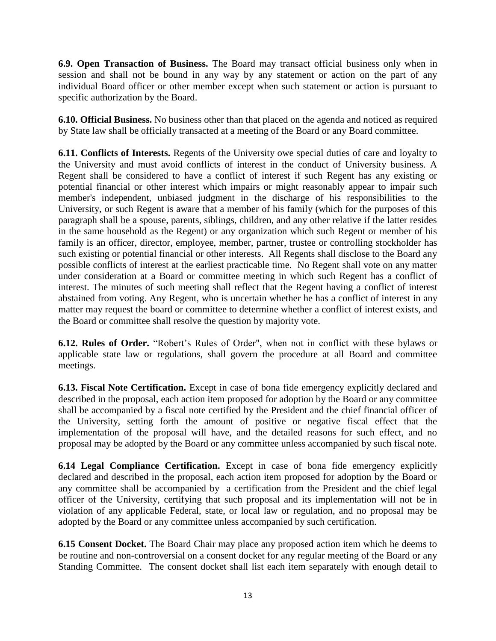**6.9. Open Transaction of Business.** The Board may transact official business only when in session and shall not be bound in any way by any statement or action on the part of any individual Board officer or other member except when such statement or action is pursuant to specific authorization by the Board.

**6.10. Official Business.** No business other than that placed on the agenda and noticed as required by State law shall be officially transacted at a meeting of the Board or any Board committee.

**6.11. Conflicts of Interests.** Regents of the University owe special duties of care and loyalty to the University and must avoid conflicts of interest in the conduct of University business. A Regent shall be considered to have a conflict of interest if such Regent has any existing or potential financial or other interest which impairs or might reasonably appear to impair such member's independent, unbiased judgment in the discharge of his responsibilities to the University, or such Regent is aware that a member of his family (which for the purposes of this paragraph shall be a spouse, parents, siblings, children, and any other relative if the latter resides in the same household as the Regent) or any organization which such Regent or member of his family is an officer, director, employee, member, partner, trustee or controlling stockholder has such existing or potential financial or other interests. All Regents shall disclose to the Board any possible conflicts of interest at the earliest practicable time. No Regent shall vote on any matter under consideration at a Board or committee meeting in which such Regent has a conflict of interest. The minutes of such meeting shall reflect that the Regent having a conflict of interest abstained from voting. Any Regent, who is uncertain whether he has a conflict of interest in any matter may request the board or committee to determine whether a conflict of interest exists, and the Board or committee shall resolve the question by majority vote.

**6.12. Rules of Order.** "Robert's Rules of Order", when not in conflict with these bylaws or applicable state law or regulations, shall govern the procedure at all Board and committee meetings.

**6.13. Fiscal Note Certification.** Except in case of bona fide emergency explicitly declared and described in the proposal, each action item proposed for adoption by the Board or any committee shall be accompanied by a fiscal note certified by the President and the chief financial officer of the University, setting forth the amount of positive or negative fiscal effect that the implementation of the proposal will have, and the detailed reasons for such effect, and no proposal may be adopted by the Board or any committee unless accompanied by such fiscal note.

**6.14 Legal Compliance Certification.** Except in case of bona fide emergency explicitly declared and described in the proposal, each action item proposed for adoption by the Board or any committee shall be accompanied by a certification from the President and the chief legal officer of the University, certifying that such proposal and its implementation will not be in violation of any applicable Federal, state, or local law or regulation, and no proposal may be adopted by the Board or any committee unless accompanied by such certification.

**6.15 Consent Docket.** The Board Chair may place any proposed action item which he deems to be routine and non-controversial on a consent docket for any regular meeting of the Board or any Standing Committee. The consent docket shall list each item separately with enough detail to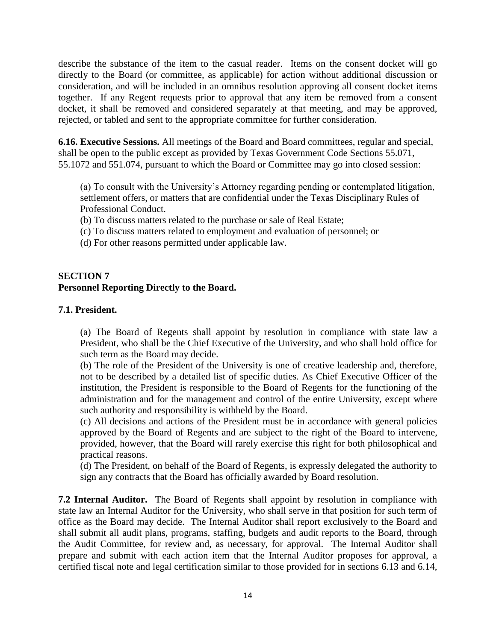describe the substance of the item to the casual reader. Items on the consent docket will go directly to the Board (or committee, as applicable) for action without additional discussion or consideration, and will be included in an omnibus resolution approving all consent docket items together. If any Regent requests prior to approval that any item be removed from a consent docket, it shall be removed and considered separately at that meeting, and may be approved, rejected, or tabled and sent to the appropriate committee for further consideration.

**6.16. Executive Sessions.** All meetings of the Board and Board committees, regular and special, shall be open to the public except as provided by Texas Government Code Sections 55.071, 55.1072 and 551.074, pursuant to which the Board or Committee may go into closed session:

(a) To consult with the University's Attorney regarding pending or contemplated litigation, settlement offers, or matters that are confidential under the Texas Disciplinary Rules of Professional Conduct.

(b) To discuss matters related to the purchase or sale of Real Estate;

- (c) To discuss matters related to employment and evaluation of personnel; or
- (d) For other reasons permitted under applicable law.

#### **SECTION 7 Personnel Reporting Directly to the Board.**

#### **7.1. President.**

(a) The Board of Regents shall appoint by resolution in compliance with state law a President, who shall be the Chief Executive of the University, and who shall hold office for such term as the Board may decide.

(b) The role of the President of the University is one of creative leadership and, therefore, not to be described by a detailed list of specific duties. As Chief Executive Officer of the institution, the President is responsible to the Board of Regents for the functioning of the administration and for the management and control of the entire University, except where such authority and responsibility is withheld by the Board.

(c) All decisions and actions of the President must be in accordance with general policies approved by the Board of Regents and are subject to the right of the Board to intervene, provided, however, that the Board will rarely exercise this right for both philosophical and practical reasons.

(d) The President, on behalf of the Board of Regents, is expressly delegated the authority to sign any contracts that the Board has officially awarded by Board resolution.

**7.2 Internal Auditor.** The Board of Regents shall appoint by resolution in compliance with state law an Internal Auditor for the University, who shall serve in that position for such term of office as the Board may decide. The Internal Auditor shall report exclusively to the Board and shall submit all audit plans, programs, staffing, budgets and audit reports to the Board, through the Audit Committee, for review and, as necessary, for approval. The Internal Auditor shall prepare and submit with each action item that the Internal Auditor proposes for approval, a certified fiscal note and legal certification similar to those provided for in sections 6.13 and 6.14,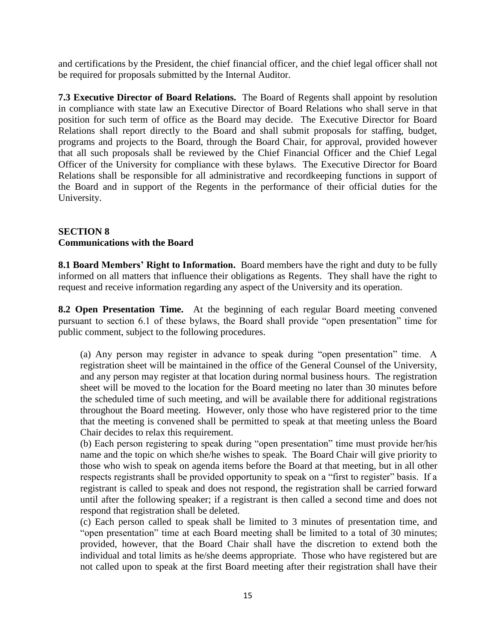and certifications by the President, the chief financial officer, and the chief legal officer shall not be required for proposals submitted by the Internal Auditor.

**7.3 Executive Director of Board Relations.** The Board of Regents shall appoint by resolution in compliance with state law an Executive Director of Board Relations who shall serve in that position for such term of office as the Board may decide. The Executive Director for Board Relations shall report directly to the Board and shall submit proposals for staffing, budget, programs and projects to the Board, through the Board Chair, for approval, provided however that all such proposals shall be reviewed by the Chief Financial Officer and the Chief Legal Officer of the University for compliance with these bylaws. The Executive Director for Board Relations shall be responsible for all administrative and recordkeeping functions in support of the Board and in support of the Regents in the performance of their official duties for the University.

#### **SECTION 8 Communications with the Board**

**8.1 Board Members' Right to Information.** Board members have the right and duty to be fully informed on all matters that influence their obligations as Regents. They shall have the right to request and receive information regarding any aspect of the University and its operation.

**8.2 Open Presentation Time.** At the beginning of each regular Board meeting convened pursuant to section 6.1 of these bylaws, the Board shall provide "open presentation" time for public comment, subject to the following procedures.

(a) Any person may register in advance to speak during "open presentation" time. A registration sheet will be maintained in the office of the General Counsel of the University, and any person may register at that location during normal business hours. The registration sheet will be moved to the location for the Board meeting no later than 30 minutes before the scheduled time of such meeting, and will be available there for additional registrations throughout the Board meeting. However, only those who have registered prior to the time that the meeting is convened shall be permitted to speak at that meeting unless the Board Chair decides to relax this requirement.

(b) Each person registering to speak during "open presentation" time must provide her/his name and the topic on which she/he wishes to speak. The Board Chair will give priority to those who wish to speak on agenda items before the Board at that meeting, but in all other respects registrants shall be provided opportunity to speak on a "first to register" basis. If a registrant is called to speak and does not respond, the registration shall be carried forward until after the following speaker; if a registrant is then called a second time and does not respond that registration shall be deleted.

(c) Each person called to speak shall be limited to 3 minutes of presentation time, and "open presentation" time at each Board meeting shall be limited to a total of 30 minutes; provided, however, that the Board Chair shall have the discretion to extend both the individual and total limits as he/she deems appropriate. Those who have registered but are not called upon to speak at the first Board meeting after their registration shall have their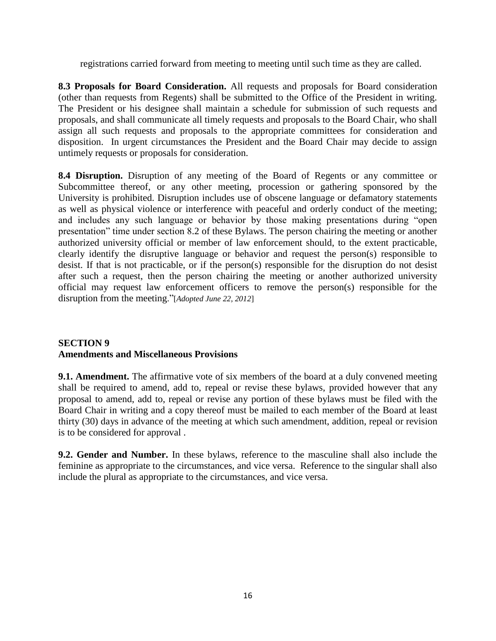registrations carried forward from meeting to meeting until such time as they are called.

**8.3 Proposals for Board Consideration.** All requests and proposals for Board consideration (other than requests from Regents) shall be submitted to the Office of the President in writing. The President or his designee shall maintain a schedule for submission of such requests and proposals, and shall communicate all timely requests and proposals to the Board Chair, who shall assign all such requests and proposals to the appropriate committees for consideration and disposition. In urgent circumstances the President and the Board Chair may decide to assign untimely requests or proposals for consideration.

8.4 Disruption. Disruption of any meeting of the Board of Regents or any committee or Subcommittee thereof, or any other meeting, procession or gathering sponsored by the University is prohibited. Disruption includes use of obscene language or defamatory statements as well as physical violence or interference with peaceful and orderly conduct of the meeting; and includes any such language or behavior by those making presentations during "open presentation" time under section 8.2 of these Bylaws. The person chairing the meeting or another authorized university official or member of law enforcement should, to the extent practicable, clearly identify the disruptive language or behavior and request the person(s) responsible to desist. If that is not practicable, or if the person(s) responsible for the disruption do not desist after such a request, then the person chairing the meeting or another authorized university official may request law enforcement officers to remove the person(s) responsible for the disruption from the meeting."[*Adopted June 22, 2012*]

#### **SECTION 9 Amendments and Miscellaneous Provisions**

**9.1. Amendment.** The affirmative vote of six members of the board at a duly convened meeting shall be required to amend, add to, repeal or revise these bylaws, provided however that any proposal to amend, add to, repeal or revise any portion of these bylaws must be filed with the Board Chair in writing and a copy thereof must be mailed to each member of the Board at least thirty (30) days in advance of the meeting at which such amendment, addition, repeal or revision is to be considered for approval .

**9.2. Gender and Number.** In these bylaws, reference to the masculine shall also include the feminine as appropriate to the circumstances, and vice versa. Reference to the singular shall also include the plural as appropriate to the circumstances, and vice versa.